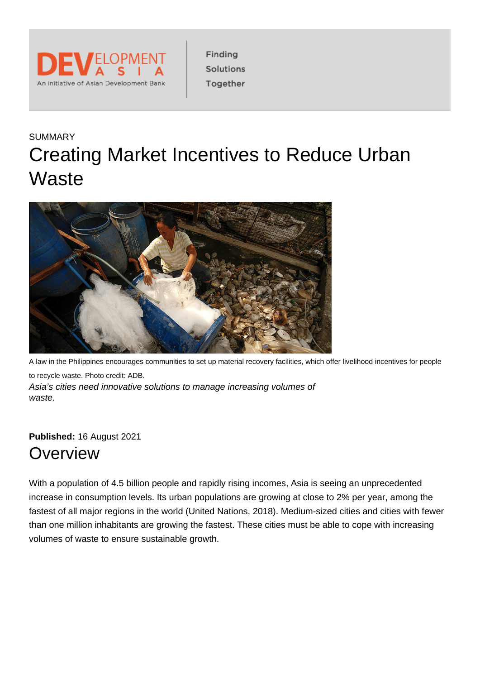

Finding Solutions Together

# SUMMARY Creating Market Incentives to Reduce Urban **Waste**



A law in the Philippines encourages communities to set up material recovery facilities, which offer livelihood incentives for people to recycle waste. Photo credit: ADB. Asia's cities need innovative solutions to manage increasing volumes of waste.

**Published:** 16 August 2021 **Overview** 

With a population of 4.5 billion people and rapidly rising incomes, Asia is seeing an unprecedented increase in consumption levels. Its urban populations are growing at close to 2% per year, among the fastest of all major regions in the world (United Nations, 2018). Medium-sized cities and cities with fewer than one million inhabitants are growing the fastest. These cities must be able to cope with increasing volumes of waste to ensure sustainable growth.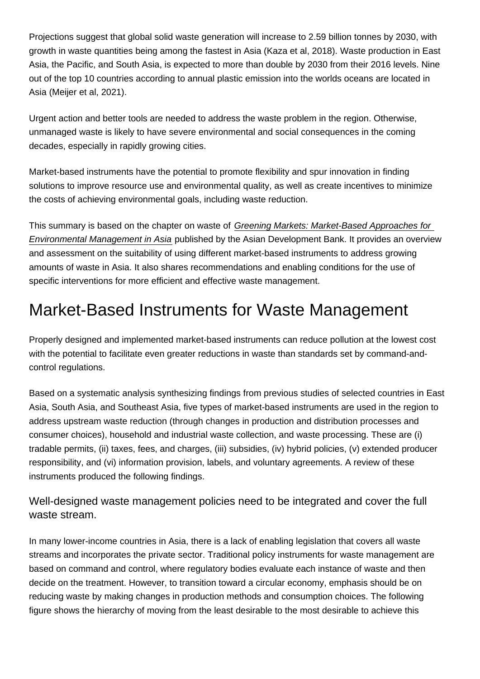Projections suggest that global solid waste generation will increase to 2.59 billion tonnes by 2030, with growth in waste quantities being among the fastest in Asia (Kaza et al, 2018). Waste production in East Asia, the Pacific, and South Asia, is expected to more than double by 2030 from their 2016 levels. Nine out of the top 10 countries according to annual plastic emission into the worlds oceans are located in Asia (Meijer et al, 2021).

Urgent action and better tools are needed to address the waste problem in the region. Otherwise, unmanaged waste is likely to have severe environmental and social consequences in the coming decades, especially in rapidly growing cities.

Market-based instruments have the potential to promote flexibility and spur innovation in finding solutions to improve resource use and environmental quality, as well as create incentives to minimize the costs of achieving environmental goals, including waste reduction.

This summary is based on the chapter on waste of [Greening Markets: Market-Based Approaches for](https://www.adb.org/publications/greening-markets-environmental-management-asia)  [Environmental Management in Asia](https://www.adb.org/publications/greening-markets-environmental-management-asia) published by the Asian Development Bank. It provides an overview and assessment on the suitability of using different market-based instruments to address growing amounts of waste in Asia. It also shares recommendations and enabling conditions for the use of specific interventions for more efficient and effective waste management.

# Market-Based Instruments for Waste Management

Properly designed and implemented market-based instruments can reduce pollution at the lowest cost with the potential to facilitate even greater reductions in waste than standards set by command-andcontrol regulations.

Based on a systematic analysis synthesizing findings from previous studies of selected countries in East Asia, South Asia, and Southeast Asia, five types of market-based instruments are used in the region to address upstream waste reduction (through changes in production and distribution processes and consumer choices), household and industrial waste collection, and waste processing. These are (i) tradable permits, (ii) taxes, fees, and charges, (iii) subsidies, (iv) hybrid policies, (v) extended producer responsibility, and (vi) information provision, labels, and voluntary agreements. A review of these instruments produced the following findings.

Well-designed waste management policies need to be integrated and cover the full waste stream.

In many lower-income countries in Asia, there is a lack of enabling legislation that covers all waste streams and incorporates the private sector. Traditional policy instruments for waste management are based on command and control, where regulatory bodies evaluate each instance of waste and then decide on the treatment. However, to transition toward a circular economy, emphasis should be on reducing waste by making changes in production methods and consumption choices. The following figure shows the hierarchy of moving from the least desirable to the most desirable to achieve this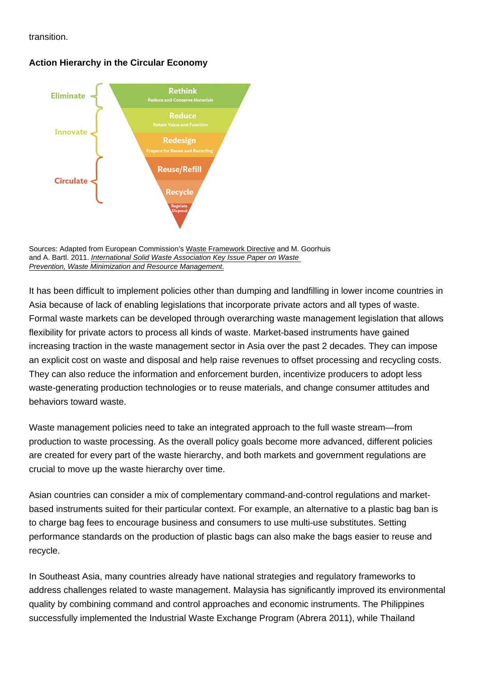transition.

Action Hierarchy in the Circular Economy

Sources: Adapted from European Commission's [Waste Framework Directive](https://ec.europa.eu/environment/topics/waste-and-recycling/waste-framework-directive_en) and M. Goorhuis and A. Bartl. 2011. [International Solid Waste](https://www.iswa.org/index. php?eID=tx_iswaknowledgebase_download&documentUid=2359) [Association Key Issue Paper on Waste](https://www.iswa.org/index.php?eID=tx_iswaknowledgebase_download&documentUid=2359)  [Prevention, Waste Minimization and Resource Management.](https://www.iswa.org/index.php?eID=tx_iswaknowledgebase_download&documentUid=2359)

It has been difficult to implement policies other than dumping and landfilling in lower income countries in Asia because of lack of enabling legislations that incorporate private actors and all types of waste. Formal waste markets can be developed through overarching waste management legislation that allows flexibility for private actors to process all kinds of waste. Market-based instruments have gained increasing traction in the waste management sector in Asia over the past 2 decades. They can impose an explicit cost on waste and disposal and help raise revenues to offset processing and recycling costs. They can also reduce the information and enforcement burden, incentivize producers to adopt less waste-generating production technologies or to reuse materials, and change consumer attitudes and behaviors toward waste.

Waste management policies need to take an integrated approach to the full waste stream—from production to waste processing. As the overall policy goals become more advanced, different policies are created for every part of the waste hierarchy, and both markets and government regulations are crucial to move up the waste hierarchy over time.

Asian countries can consider a mix of complementary command-and-control regulations and marketbased instruments suited for their particular context. For example, an alternative to a plastic bag ban is to charge bag fees to encourage business and consumers to use multi-use substitutes. Setting performance standards on the production of plastic bags can also make the bags easier to reuse and recycle.

In Southeast Asia, many countries already have national strategies and regulatory frameworks to address challenges related to waste management. Malaysia has significantly improved its environmental quality by combining command and control approaches and economic instruments. The Philippines successfully implemented the Industrial Waste Exchange Program (Abrera 2011), while Thailand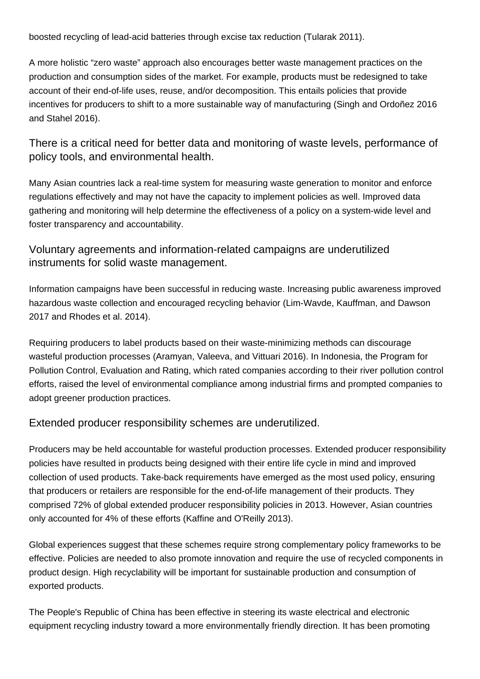boosted recycling of lead-acid batteries through excise tax reduction (Tularak 2011).

A more holistic "zero waste" approach also encourages better waste management practices on the production and consumption sides of the market. For example, products must be redesigned to take account of their end-of-life uses, reuse, and/or decomposition. This entails policies that provide incentives for producers to shift to a more sustainable way of manufacturing (Singh and Ordoñez 2016 and Stahel 2016).

There is a critical need for better data and monitoring of waste levels, performance of policy tools, and environmental health.

Many Asian countries lack a real-time system for measuring waste generation to monitor and enforce regulations effectively and may not have the capacity to implement policies as well. Improved data gathering and monitoring will help determine the effectiveness of a policy on a system-wide level and foster transparency and accountability.

### Voluntary agreements and information-related campaigns are underutilized instruments for solid waste management.

Information campaigns have been successful in reducing waste. Increasing public awareness improved hazardous waste collection and encouraged recycling behavior (Lim-Wavde, Kauffman, and Dawson 2017 and Rhodes et al. 2014).

Requiring producers to label products based on their waste-minimizing methods can discourage wasteful production processes (Aramyan, Valeeva, and Vittuari 2016). In Indonesia, the Program for Pollution Control, Evaluation and Rating, which rated companies according to their river pollution control efforts, raised the level of environmental compliance among industrial firms and prompted companies to adopt greener production practices.

#### Extended producer responsibility schemes are underutilized.

Producers may be held accountable for wasteful production processes. Extended producer responsibility policies have resulted in products being designed with their entire life cycle in mind and improved collection of used products. Take-back requirements have emerged as the most used policy, ensuring that producers or retailers are responsible for the end-of-life management of their products. They comprised 72% of global extended producer responsibility policies in 2013. However, Asian countries only accounted for 4% of these efforts (Kaffine and O'Reilly 2013).

Global experiences suggest that these schemes require strong complementary policy frameworks to be effective. Policies are needed to also promote innovation and require the use of recycled components in product design. High recyclability will be important for sustainable production and consumption of exported products.

The People's Republic of China has been effective in steering its waste electrical and electronic equipment recycling industry toward a more environmentally friendly direction. It has been promoting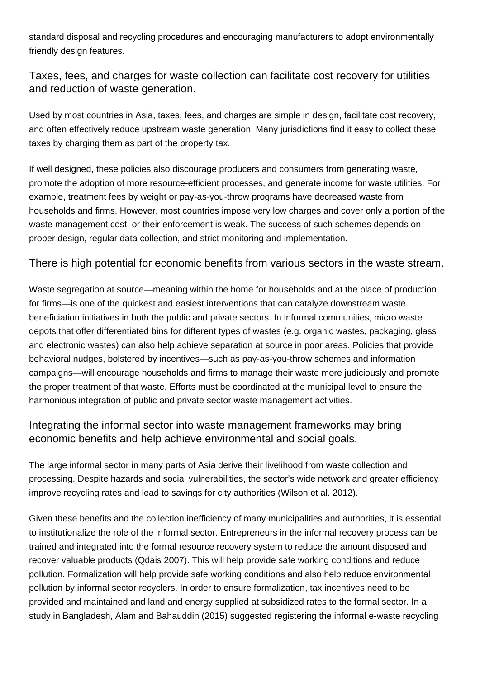standard disposal and recycling procedures and encouraging manufacturers to adopt environmentally friendly design features.

Taxes, fees, and charges for waste collection can facilitate cost recovery for utilities and reduction of waste generation.

Used by most countries in Asia, taxes, fees, and charges are simple in design, facilitate cost recovery, and often effectively reduce upstream waste generation. Many jurisdictions find it easy to collect these taxes by charging them as part of the property tax.

If well designed, these policies also discourage producers and consumers from generating waste, promote the adoption of more resource-efficient processes, and generate income for waste utilities. For example, treatment fees by weight or pay-as-you-throw programs have decreased waste from households and firms. However, most countries impose very low charges and cover only a portion of the waste management cost, or their enforcement is weak. The success of such schemes depends on proper design, regular data collection, and strict monitoring and implementation.

There is high potential for economic benefits from various sectors in the waste stream.

Waste segregation at source—meaning within the home for households and at the place of production for firms—is one of the quickest and easiest interventions that can catalyze downstream waste beneficiation initiatives in both the public and private sectors. In informal communities, micro waste depots that offer differentiated bins for different types of wastes (e.g. organic wastes, packaging, glass and electronic wastes) can also help achieve separation at source in poor areas. Policies that provide behavioral nudges, bolstered by incentives—such as pay-as-you-throw schemes and information campaigns—will encourage households and firms to manage their waste more judiciously and promote the proper treatment of that waste. Efforts must be coordinated at the municipal level to ensure the harmonious integration of public and private sector waste management activities.

### Integrating the informal sector into waste management frameworks may bring economic benefits and help achieve environmental and social goals.

The large informal sector in many parts of Asia derive their livelihood from waste collection and processing. Despite hazards and social vulnerabilities, the sector's wide network and greater efficiency improve recycling rates and lead to savings for city authorities (Wilson et al. 2012).

Given these benefits and the collection inefficiency of many municipalities and authorities, it is essential to institutionalize the role of the informal sector. Entrepreneurs in the informal recovery process can be trained and integrated into the formal resource recovery system to reduce the amount disposed and recover valuable products (Qdais 2007). This will help provide safe working conditions and reduce pollution. Formalization will help provide safe working conditions and also help reduce environmental pollution by informal sector recyclers. In order to ensure formalization, tax incentives need to be provided and maintained and land and energy supplied at subsidized rates to the formal sector. In a study in Bangladesh, Alam and Bahauddin (2015) suggested registering the informal e-waste recycling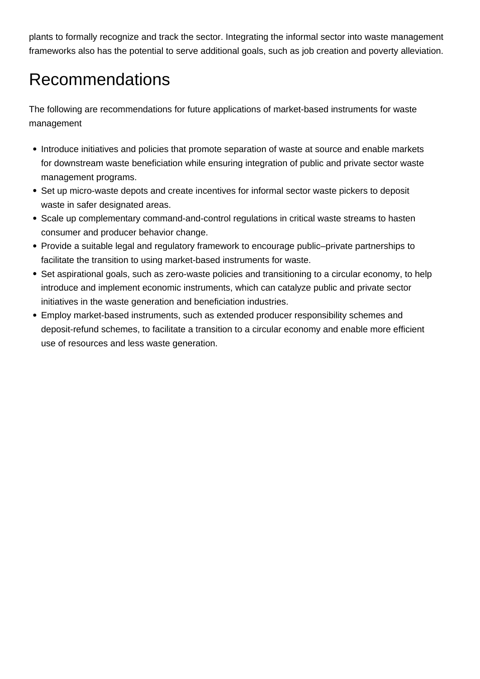plants to formally recognize and track the sector. Integrating the informal sector into waste management frameworks also has the potential to serve additional goals, such as job creation and poverty alleviation.

## Recommendations

The following are recommendations for future applications of market-based instruments for waste management

- Introduce initiatives and policies that promote separation of waste at source and enable markets for downstream waste beneficiation while ensuring integration of public and private sector waste management programs.
- Set up micro-waste depots and create incentives for informal sector waste pickers to deposit waste in safer designated areas.
- Scale up complementary command-and-control regulations in critical waste streams to hasten consumer and producer behavior change.
- Provide a suitable legal and regulatory framework to encourage public–private partnerships to facilitate the transition to using market-based instruments for waste.
- Set aspirational goals, such as zero-waste policies and transitioning to a circular economy, to help introduce and implement economic instruments, which can catalyze public and private sector initiatives in the waste generation and beneficiation industries.
- Employ market-based instruments, such as extended producer responsibility schemes and deposit-refund schemes, to facilitate a transition to a circular economy and enable more efficient use of resources and less waste generation.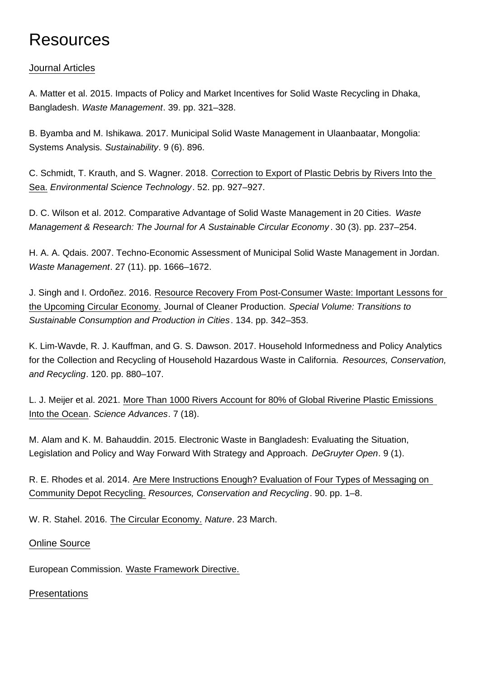## Resources

#### [Journal Articles](https://development.asia/printpdf/summary/creating-market-incentives-reduce-urban-waste#collapse1a)

A. Matter et al. 2015. Impacts of Policy and Market Incentives for Solid Waste Recycling in Dhaka, Bangladesh. Waste Management. 39. pp. 321–328.

B. Byamba and M. Ishikawa. 2017. Municipal Solid Waste Management in Ulaanbaatar, Mongolia: Systems Analysis. Sustainability. 9 (6). 896.

C. Schmidt, T. Krauth, and S. Wagner. 2018. [Correction to Export of Plastic Debris by Rivers Into the](https://doi.org/10.1021/acs.est.7b06377)  [Sea.](https://doi.org/10.1021/acs.est.7b06377) Environmental Science Technology. 52. pp. 927–927.

D. C. Wilson et al. 2012. Comparative Advantage of Solid Waste Management in 20 Cities. Waste Management & Research: The Journal for A Sustainable Circular Economy . 30 (3). pp. 237–254.

H. A. A. Qdais. 2007. Techno-Economic Assessment of Municipal Solid Waste Management in Jordan. Waste Management. 27 (11). pp. 1666–1672.

J. Singh and I. Ordoñez. 2016. [Resource Recovery From Post-Consumer Waste: Important Lessons for](https://doi.org/10.1016/j.jclepro.2015.12.020)  [the Upcoming Circular Economy.](https://doi.org/10.1016/j.jclepro.2015.12.020) Journal of Cleaner Production. Special Volume: Transitions to Sustainable Consumption and Production in Cities. 134. pp. 342–353.

K. Lim-Wavde, R. J. Kauffman, and G. S. Dawson. 2017. Household Informedness and Policy Analytics for the Collection and Recycling of Household Hazardous Waste in California. Resources, Conservation, and Recycling. 120. pp. 880–107.

L. J. Meijer et al. 2021. [More Than 1000 Rivers Account for 80% of Global Riverine Plastic Emissions](https://advances.sciencemag.org/content/7/18/eaaz5803)  [Into the Ocean.](https://advances.sciencemag.org/content/7/18/eaaz5803) Science Advances. 7 (18).

M. Alam and K. M. Bahauddin. 2015. Electronic Waste in Bangladesh: Evaluating the Situation, Legislation and Policy and Way Forward With Strategy and Approach. DeGruyter Open. 9 (1).

R. E. Rhodes et al. 2014. [Are Mere Instructions Enough? Evaluation of Four Types of Messaging on](https://www.sciencedirect.com/science/article/abs/pii/S0921344914000949?via=ihub)  [Community Depot Recycling.](https://www.sciencedirect.com/science/article/abs/pii/S0921344914000949?via=ihub) Resources, Conservation and Recycling. 90. pp. 1–8.

W. R. Stahel. 2016. [The Circular Economy.](https://www.nature.com/news/the-circulareconomy-1.19594) Nature. 23 March.

#### [Online Source](https://development.asia/printpdf/summary/creating-market-incentives-reduce-urban-waste#collapse1b)

European Commission. [Waste Framework Directive.](https://ec.europa.eu/environment/topics/waste-and-recycling/waste-framework-directive_en)

#### **[Presentations](https://development.asia/printpdf/summary/creating-market-incentives-reduce-urban-waste#collapse1c)**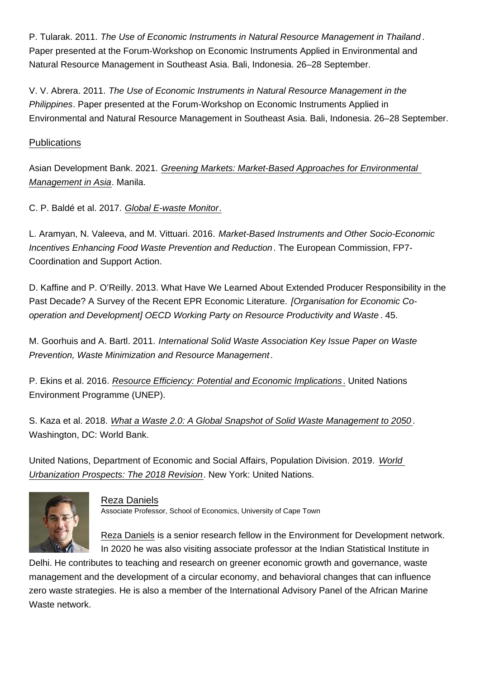P. Tularak. 2011. The Use of Economic Instruments in Natural Resource Management in Thailand . Paper presented at the Forum-Workshop on Economic Instruments Applied in Environmental and Natural Resource Management in Southeast Asia. Bali, Indonesia. 26–28 September.

V. V. Abrera. 2011. The Use of Economic Instruments in Natural Resource Management in the Philippines. Paper presented at the Forum-Workshop on Economic Instruments Applied in Environmental and Natural Resource Management in Southeast Asia. Bali, Indonesia. 26–28 September.

#### [Publications](https://development.asia/printpdf/summary/creating-market-incentives-reduce-urban-waste#collapse1d)

Asian Development Bank. 2021. [Greening Markets: Market-Based Approaches for Environmental](https://www.adb.org/publications/greening-markets-environmental-management-asia)  [Management in Asia.](https://www.adb.org/publications/greening-markets-environmental-management-asia) Manila.

C. P. Baldé et al. 2017. [Global E-waste Monitor.](https://www.itu.int/en/ITU-D/Climate-Change/Documents/GEM 2017/Global-E-waste Monitor 2017 .pdf)

L. Aramyan, N. Valeeva, and M. Vittuari. 2016. Market-Based Instruments and Other Socio-Economic Incentives Enhancing Food Waste Prevention and Reduction. The European Commission, FP7- Coordination and Support Action.

D. Kaffine and P. O'Reilly. 2013. What Have We Learned About Extended Producer Responsibility in the Past Decade? A Survey of the Recent EPR Economic Literature. [Organisation for Economic Cooperation and Development] OECD Working Party on Resource Productivity and Waste . 45.

M. Goorhuis and A. Bartl. 2011. International Solid Waste Association Key Issue Paper on Waste Prevention, Waste Minimization and Resource Management.

P. Ekins et al. 2016. [Resource Efficiency: Potential and Economic Implications.](http://www.resourcepanel.org/sites/default/files/documents/document/media/resource_efficiency_report_march_2017_web_res.pdf) United Nations Environment Programme (UNEP).

S. Kaza et al. 2018. [What a Waste 2.0: A Global Snapshot of Solid Waste Management to 2050](https://openknowledge.worldbank.org/handle/10986/30317) . Washington, DC: World Bank.

United Nations, Department of Economic and Social Affairs, Population Division. 2019. [World](https://population.un.org/wup/Publications/Files/WUP2018-Report.pdf)  [Urbanization Prospects: The 2018 Revision](https://population.un.org/wup/Publications/Files/WUP2018-Report.pdf). New York: United Nations.

> [Reza Daniels](https://development.asia/node/7071) Associate Professor, School of Economics, University of Cape Town

[Reza Daniels](https://sites.google.com/site/rezachedaniels/) is a senior research fellow in the Environment for Development network. In 2020 he was also visiting associate professor at the Indian Statistical Institute in Delhi. He contributes to teaching and research on greener economic growth and governance, waste management and the development of a circular economy, and behavioral changes that can influence zero waste strategies. He is also a member of the International Advisory Panel of the African Marine Waste network.